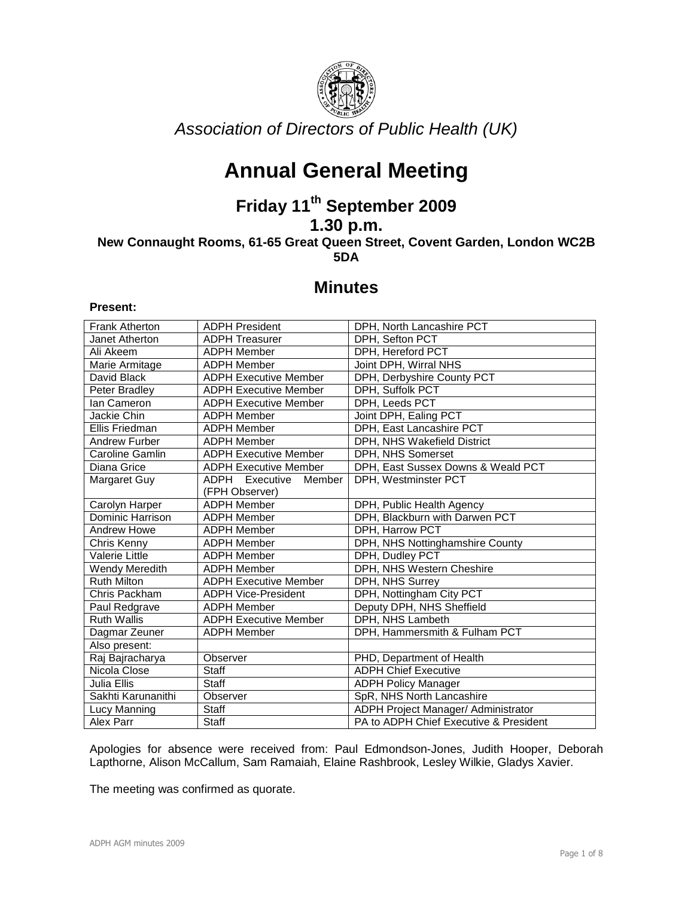

Association of Directors of Public Health (UK)

# **Annual General Meeting**

# **Friday 11th September 2009**

**1.30 p.m.** 

**New Connaught Rooms, 61-65 Great Queen Street, Covent Garden, London WC2B 5DA** 

# **Minutes**

### **Present:**

| <b>Frank Atherton</b> | <b>ADPH President</b>        | DPH, North Lancashire PCT              |
|-----------------------|------------------------------|----------------------------------------|
| Janet Atherton        | <b>ADPH Treasurer</b>        | DPH, Sefton PCT                        |
| Ali Akeem             | <b>ADPH Member</b>           | DPH, Hereford PCT                      |
| Marie Armitage        | <b>ADPH Member</b>           | Joint DPH, Wirral NHS                  |
| David Black           | <b>ADPH Executive Member</b> | DPH, Derbyshire County PCT             |
| Peter Bradley         | <b>ADPH Executive Member</b> | DPH, Suffolk PCT                       |
| lan Cameron           | <b>ADPH Executive Member</b> | DPH, Leeds PCT                         |
| Jackie Chin           | <b>ADPH Member</b>           | Joint DPH, Ealing PCT                  |
| Ellis Friedman        | <b>ADPH Member</b>           | DPH, East Lancashire PCT               |
| <b>Andrew Furber</b>  | <b>ADPH Member</b>           | DPH, NHS Wakefield District            |
| Caroline Gamlin       | <b>ADPH Executive Member</b> | DPH, NHS Somerset                      |
| Diana Grice           | <b>ADPH Executive Member</b> | DPH, East Sussex Downs & Weald PCT     |
| Margaret Guy          | ADPH Executive<br>Member     | DPH, Westminster PCT                   |
|                       | (FPH Observer)               |                                        |
| Carolyn Harper        | <b>ADPH Member</b>           | DPH, Public Health Agency              |
| Dominic Harrison      | <b>ADPH Member</b>           | DPH, Blackburn with Darwen PCT         |
| <b>Andrew Howe</b>    | <b>ADPH Member</b>           | DPH, Harrow PCT                        |
| Chris Kenny           | <b>ADPH Member</b>           | DPH, NHS Nottinghamshire County        |
| <b>Valerie Little</b> | <b>ADPH Member</b>           | DPH, Dudley PCT                        |
| Wendy Meredith        | <b>ADPH Member</b>           | DPH, NHS Western Cheshire              |
| <b>Ruth Milton</b>    | <b>ADPH Executive Member</b> | DPH, NHS Surrey                        |
| Chris Packham         | <b>ADPH Vice-President</b>   | DPH, Nottingham City PCT               |
| Paul Redgrave         | <b>ADPH Member</b>           | Deputy DPH, NHS Sheffield              |
| <b>Ruth Wallis</b>    | <b>ADPH Executive Member</b> | DPH, NHS Lambeth                       |
| Dagmar Zeuner         | <b>ADPH Member</b>           | DPH, Hammersmith & Fulham PCT          |
| Also present:         |                              |                                        |
| Raj Bajracharya       | Observer                     | PHD, Department of Health              |
| Nicola Close          | <b>Staff</b>                 | <b>ADPH Chief Executive</b>            |
| Julia Ellis           | <b>Staff</b>                 | <b>ADPH Policy Manager</b>             |
| Sakhti Karunanithi    | Observer                     | SpR, NHS North Lancashire              |
| Lucy Manning          | <b>Staff</b>                 | ADPH Project Manager/ Administrator    |
| Alex Parr             | Staff                        | PA to ADPH Chief Executive & President |

Apologies for absence were received from: Paul Edmondson-Jones, Judith Hooper, Deborah Lapthorne, Alison McCallum, Sam Ramaiah, Elaine Rashbrook, Lesley Wilkie, Gladys Xavier.

The meeting was confirmed as quorate.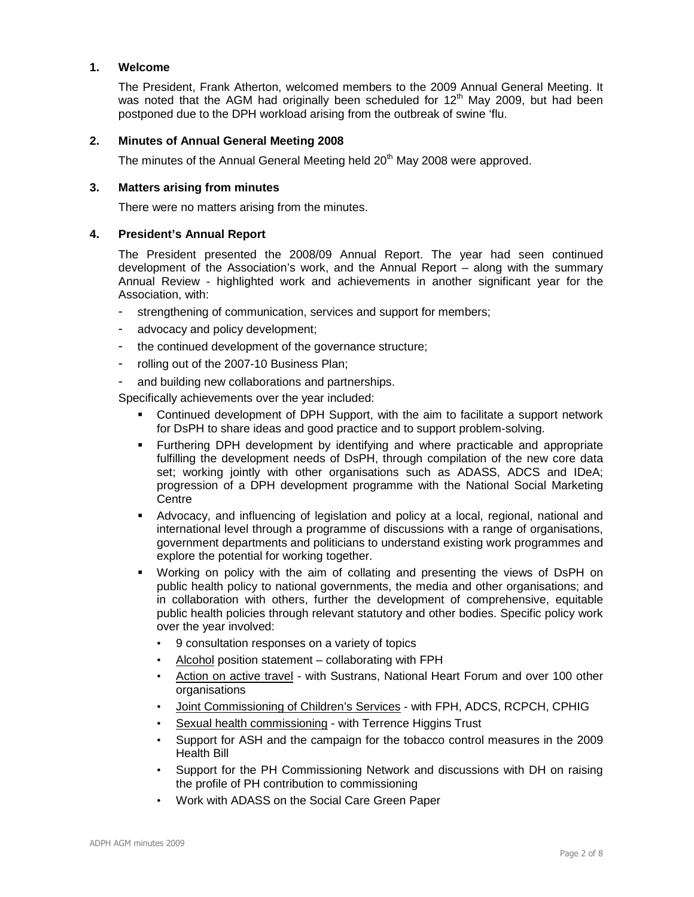## **1. Welcome**

The President, Frank Atherton, welcomed members to the 2009 Annual General Meeting. It was noted that the AGM had originally been scheduled for  $12<sup>th</sup>$  May 2009, but had been postponed due to the DPH workload arising from the outbreak of swine 'flu.

# **2. Minutes of Annual General Meeting 2008**

The minutes of the Annual General Meeting held 20<sup>th</sup> May 2008 were approved.

## **3. Matters arising from minutes**

There were no matters arising from the minutes.

# **4. President's Annual Report**

The President presented the 2008/09 Annual Report. The year had seen continued development of the Association's work, and the Annual Report – along with the summary Annual Review - highlighted work and achievements in another significant year for the Association, with:

- strengthening of communication, services and support for members;
- advocacy and policy development;
- the continued development of the governance structure;
- rolling out of the 2007-10 Business Plan;
- and building new collaborations and partnerships.

Specifically achievements over the year included:

- Continued development of DPH Support, with the aim to facilitate a support network for DsPH to share ideas and good practice and to support problem-solving.
- Furthering DPH development by identifying and where practicable and appropriate fulfilling the development needs of DsPH, through compilation of the new core data set; working jointly with other organisations such as ADASS, ADCS and IDeA; progression of a DPH development programme with the National Social Marketing **Centre**
- Advocacy, and influencing of legislation and policy at a local, regional, national and international level through a programme of discussions with a range of organisations, government departments and politicians to understand existing work programmes and explore the potential for working together.
- Working on policy with the aim of collating and presenting the views of DsPH on public health policy to national governments, the media and other organisations; and in collaboration with others, further the development of comprehensive, equitable public health policies through relevant statutory and other bodies. Specific policy work over the year involved:
	- 9 consultation responses on a variety of topics
	- Alcohol position statement collaborating with FPH
	- Action on active travel with Sustrans, National Heart Forum and over 100 other organisations
	- Joint Commissioning of Children's Services with FPH, ADCS, RCPCH, CPHIG
	- Sexual health commissioning with Terrence Higgins Trust
	- Support for ASH and the campaign for the tobacco control measures in the 2009 Health Bill
	- Support for the PH Commissioning Network and discussions with DH on raising the profile of PH contribution to commissioning
	- Work with ADASS on the Social Care Green Paper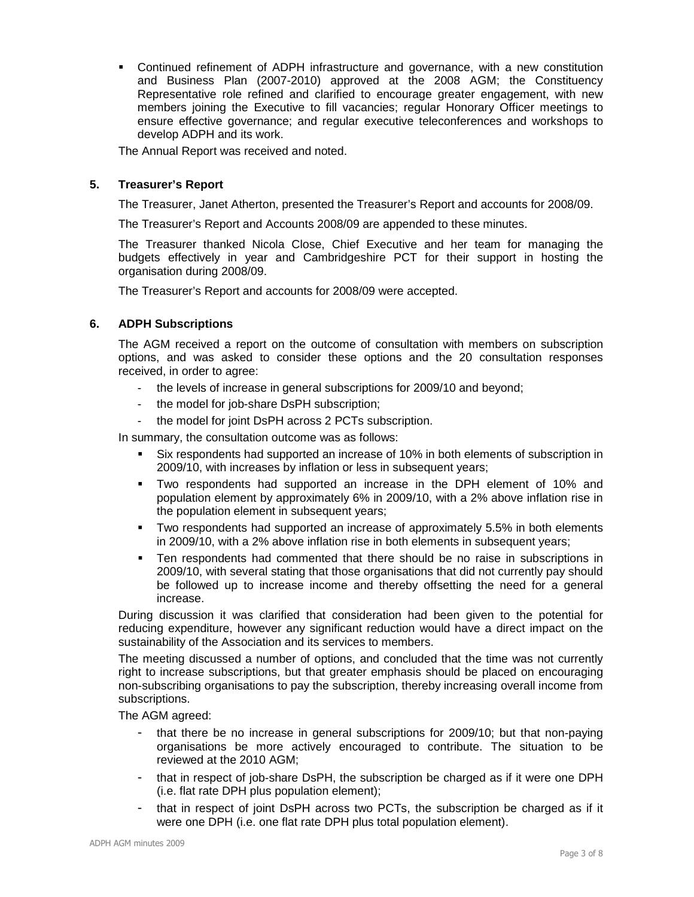Continued refinement of ADPH infrastructure and governance, with a new constitution and Business Plan (2007-2010) approved at the 2008 AGM; the Constituency Representative role refined and clarified to encourage greater engagement, with new members joining the Executive to fill vacancies; regular Honorary Officer meetings to ensure effective governance; and regular executive teleconferences and workshops to develop ADPH and its work.

The Annual Report was received and noted.

# **5. Treasurer's Report**

The Treasurer, Janet Atherton, presented the Treasurer's Report and accounts for 2008/09.

The Treasurer's Report and Accounts 2008/09 are appended to these minutes.

The Treasurer thanked Nicola Close, Chief Executive and her team for managing the budgets effectively in year and Cambridgeshire PCT for their support in hosting the organisation during 2008/09.

The Treasurer's Report and accounts for 2008/09 were accepted.

### **6. ADPH Subscriptions**

The AGM received a report on the outcome of consultation with members on subscription options, and was asked to consider these options and the 20 consultation responses received, in order to agree:

- the levels of increase in general subscriptions for 2009/10 and beyond;
- the model for job-share DsPH subscription;
- the model for joint DsPH across 2 PCTs subscription.

In summary, the consultation outcome was as follows:

- Six respondents had supported an increase of 10% in both elements of subscription in 2009/10, with increases by inflation or less in subsequent years;
- Two respondents had supported an increase in the DPH element of 10% and population element by approximately 6% in 2009/10, with a 2% above inflation rise in the population element in subsequent years;
- **Two respondents had supported an increase of approximately 5.5% in both elements** in 2009/10, with a 2% above inflation rise in both elements in subsequent years;
- Ten respondents had commented that there should be no raise in subscriptions in 2009/10, with several stating that those organisations that did not currently pay should be followed up to increase income and thereby offsetting the need for a general increase.

During discussion it was clarified that consideration had been given to the potential for reducing expenditure, however any significant reduction would have a direct impact on the sustainability of the Association and its services to members.

The meeting discussed a number of options, and concluded that the time was not currently right to increase subscriptions, but that greater emphasis should be placed on encouraging non-subscribing organisations to pay the subscription, thereby increasing overall income from subscriptions.

The AGM agreed:

- that there be no increase in general subscriptions for 2009/10; but that non-paying organisations be more actively encouraged to contribute. The situation to be reviewed at the 2010 AGM;
- that in respect of job-share DsPH, the subscription be charged as if it were one DPH (i.e. flat rate DPH plus population element);
- that in respect of joint DsPH across two PCTs, the subscription be charged as if it were one DPH (i.e. one flat rate DPH plus total population element).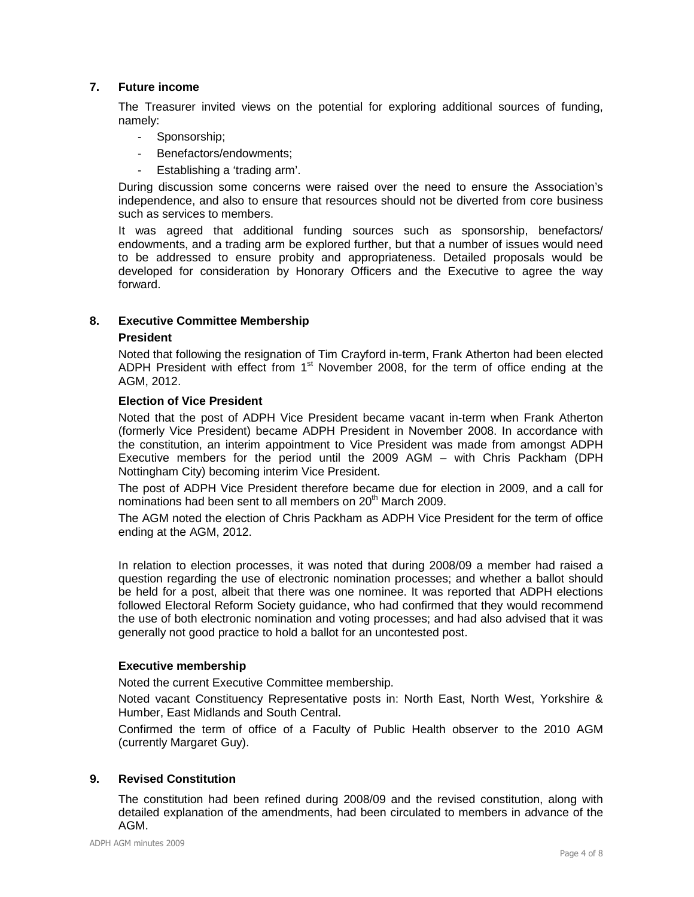# **7. Future income**

The Treasurer invited views on the potential for exploring additional sources of funding, namely:

- Sponsorship;
- Benefactors/endowments;
- Establishing a 'trading arm'.

During discussion some concerns were raised over the need to ensure the Association's independence, and also to ensure that resources should not be diverted from core business such as services to members.

It was agreed that additional funding sources such as sponsorship, benefactors/ endowments, and a trading arm be explored further, but that a number of issues would need to be addressed to ensure probity and appropriateness. Detailed proposals would be developed for consideration by Honorary Officers and the Executive to agree the way forward.

# **8. Executive Committee Membership**

### **President**

Noted that following the resignation of Tim Crayford in-term, Frank Atherton had been elected ADPH President with effect from  $1<sup>st</sup>$  November 2008, for the term of office ending at the AGM, 2012.

### **Election of Vice President**

Noted that the post of ADPH Vice President became vacant in-term when Frank Atherton (formerly Vice President) became ADPH President in November 2008. In accordance with the constitution, an interim appointment to Vice President was made from amongst ADPH Executive members for the period until the 2009 AGM – with Chris Packham (DPH Nottingham City) becoming interim Vice President.

The post of ADPH Vice President therefore became due for election in 2009, and a call for nominations had been sent to all members on 20<sup>th</sup> March 2009.

The AGM noted the election of Chris Packham as ADPH Vice President for the term of office ending at the AGM, 2012.

In relation to election processes, it was noted that during 2008/09 a member had raised a question regarding the use of electronic nomination processes; and whether a ballot should be held for a post, albeit that there was one nominee. It was reported that ADPH elections followed Electoral Reform Society guidance, who had confirmed that they would recommend the use of both electronic nomination and voting processes; and had also advised that it was generally not good practice to hold a ballot for an uncontested post.

### **Executive membership**

Noted the current Executive Committee membership.

Noted vacant Constituency Representative posts in: North East, North West, Yorkshire & Humber, East Midlands and South Central.

Confirmed the term of office of a Faculty of Public Health observer to the 2010 AGM (currently Margaret Guy).

# **9. Revised Constitution**

The constitution had been refined during 2008/09 and the revised constitution, along with detailed explanation of the amendments, had been circulated to members in advance of the AGM.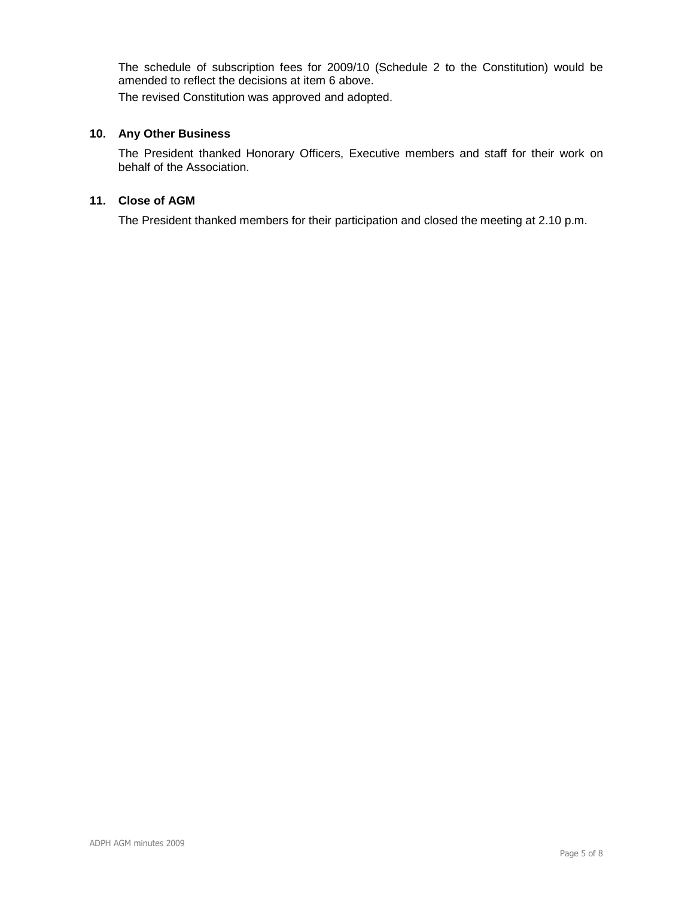The schedule of subscription fees for 2009/10 (Schedule 2 to the Constitution) would be amended to reflect the decisions at item 6 above. The revised Constitution was approved and adopted.

# **10. Any Other Business**

The President thanked Honorary Officers, Executive members and staff for their work on behalf of the Association.

# **11. Close of AGM**

The President thanked members for their participation and closed the meeting at 2.10 p.m.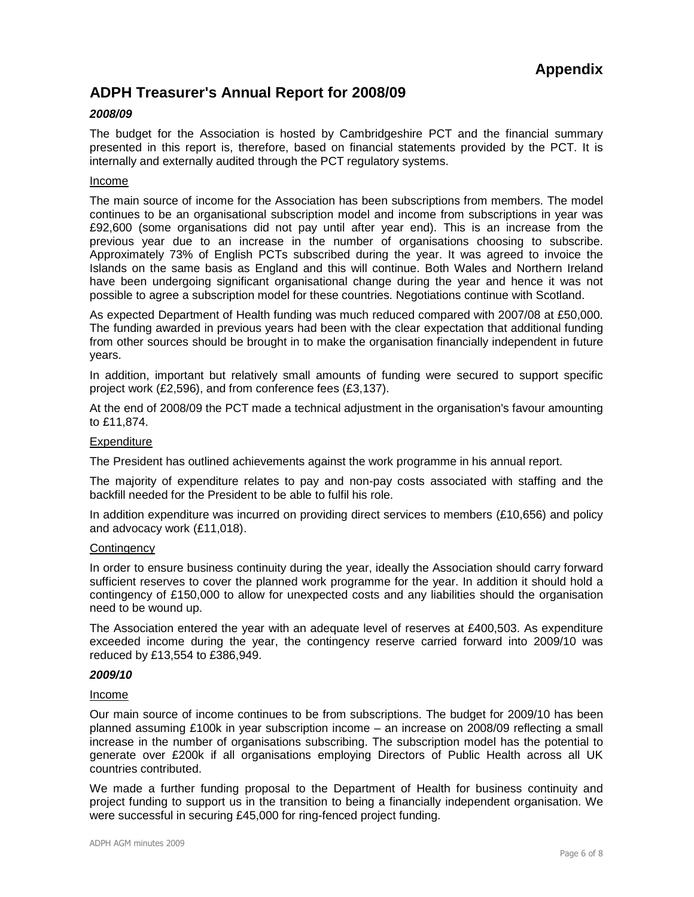# **ADPH Treasurer's Annual Report for 2008/09**

# **2008/09**

The budget for the Association is hosted by Cambridgeshire PCT and the financial summary presented in this report is, therefore, based on financial statements provided by the PCT. It is internally and externally audited through the PCT regulatory systems.

#### Income

The main source of income for the Association has been subscriptions from members. The model continues to be an organisational subscription model and income from subscriptions in year was £92,600 (some organisations did not pay until after year end). This is an increase from the previous year due to an increase in the number of organisations choosing to subscribe. Approximately 73% of English PCTs subscribed during the year. It was agreed to invoice the Islands on the same basis as England and this will continue. Both Wales and Northern Ireland have been undergoing significant organisational change during the year and hence it was not possible to agree a subscription model for these countries. Negotiations continue with Scotland.

As expected Department of Health funding was much reduced compared with 2007/08 at £50,000. The funding awarded in previous years had been with the clear expectation that additional funding from other sources should be brought in to make the organisation financially independent in future years.

In addition, important but relatively small amounts of funding were secured to support specific project work (£2,596), and from conference fees (£3,137).

At the end of 2008/09 the PCT made a technical adjustment in the organisation's favour amounting to £11,874.

### **Expenditure**

The President has outlined achievements against the work programme in his annual report.

The majority of expenditure relates to pay and non-pay costs associated with staffing and the backfill needed for the President to be able to fulfil his role.

In addition expenditure was incurred on providing direct services to members (£10,656) and policy and advocacy work (£11,018).

### **Contingency**

In order to ensure business continuity during the year, ideally the Association should carry forward sufficient reserves to cover the planned work programme for the year. In addition it should hold a contingency of £150,000 to allow for unexpected costs and any liabilities should the organisation need to be wound up.

The Association entered the year with an adequate level of reserves at £400,503. As expenditure exceeded income during the year, the contingency reserve carried forward into 2009/10 was reduced by £13,554 to £386,949.

### **2009/10**

### Income

Our main source of income continues to be from subscriptions. The budget for 2009/10 has been planned assuming £100k in year subscription income – an increase on 2008/09 reflecting a small increase in the number of organisations subscribing. The subscription model has the potential to generate over £200k if all organisations employing Directors of Public Health across all UK countries contributed.

We made a further funding proposal to the Department of Health for business continuity and project funding to support us in the transition to being a financially independent organisation. We were successful in securing £45,000 for ring-fenced project funding.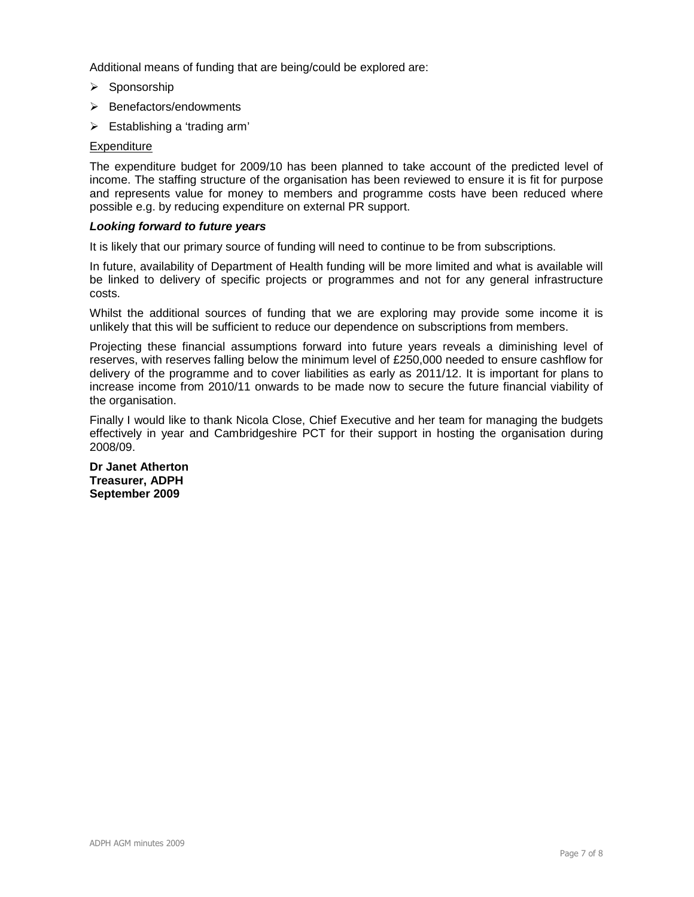Additional means of funding that are being/could be explored are:

- > Sponsorship
- > Benefactors/endowments
- > Establishing a 'trading arm'

## **Expenditure**

The expenditure budget for 2009/10 has been planned to take account of the predicted level of income. The staffing structure of the organisation has been reviewed to ensure it is fit for purpose and represents value for money to members and programme costs have been reduced where possible e.g. by reducing expenditure on external PR support.

#### **Looking forward to future years**

It is likely that our primary source of funding will need to continue to be from subscriptions.

In future, availability of Department of Health funding will be more limited and what is available will be linked to delivery of specific projects or programmes and not for any general infrastructure costs.

Whilst the additional sources of funding that we are exploring may provide some income it is unlikely that this will be sufficient to reduce our dependence on subscriptions from members.

Projecting these financial assumptions forward into future years reveals a diminishing level of reserves, with reserves falling below the minimum level of £250,000 needed to ensure cashflow for delivery of the programme and to cover liabilities as early as 2011/12. It is important for plans to increase income from 2010/11 onwards to be made now to secure the future financial viability of the organisation.

Finally I would like to thank Nicola Close, Chief Executive and her team for managing the budgets effectively in year and Cambridgeshire PCT for their support in hosting the organisation during 2008/09.

**Dr Janet Atherton Treasurer, ADPH September 2009**